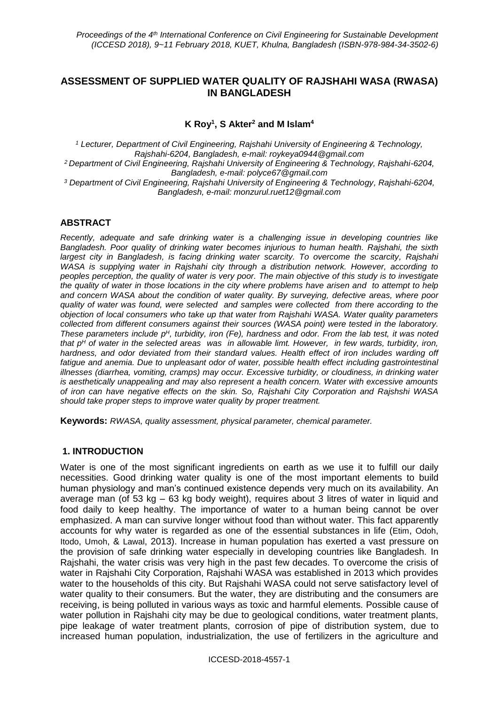## **ASSESSMENT OF SUPPLIED WATER QUALITY OF RAJSHAHI WASA (RWASA) IN BANGLADESH**

**K Roy<sup>1</sup> , S Akter<sup>2</sup> and M Islam<sup>4</sup>**

*<sup>1</sup> Lecturer, Department of Civil Engineering, Rajshahi University of Engineering & Technology, Rajshahi-6204, Bangladesh, e-mail: roykeya0944@gmail.com <sup>2</sup> Department of Civil Engineering, Rajshahi University of Engineering & Technology, Rajshahi-6204, Bangladesh, e-mail: polyce67@gmail.com <sup>3</sup> Department of Civil Engineering, Rajshahi University of Engineering & Technology, Rajshahi-6204, Bangladesh, e-mail: monzurul.ruet12@gmail.com*

#### **ABSTRACT**

*Recently, adequate and safe drinking water is a challenging issue in developing countries like Bangladesh. Poor quality of drinking water becomes injurious to human health. Rajshahi, the sixth largest city in Bangladesh, is facing drinking water scarcity. To overcome the scarcity, Rajshahi WASA is supplying water in Rajshahi city through a distribution network. However, according to peoples perception, the quality of water is very poor. The main objective of this study is to investigate the quality of water in those locations in the city where problems have arisen and to attempt to help and concern WASA about the condition of water quality. By surveying, defective areas, where poor quality of water was found, were selected and samples were collected from there according to the objection of local consumers who take up that water from Rajshahi WASA. Water quality parameters collected from different consumers against their sources (WASA point) were tested in the laboratory. These parameters include p <sup>H</sup>, turbidity, iron (Fe), hardness and odor. From the lab test, it was noted that p <sup>H</sup> of water in the selected areas was in allowable limt. However, in few wards, turbidity, iron, hardness, and odor deviated from their standard values. Health effect of iron includes warding off*  fatigue and anemia. Due to unpleasant odor of water, possible health effect including gastrointestinal *illnesses (diarrhea, vomiting, cramps) may occur. Excessive turbidity, or cloudiness, in drinking water is aesthetically unappealing and may also represent a health concern. Water with excessive amounts of iron can have negative effects on the skin. So, Rajshahi City Corporation and Rajshshi WASA should take proper steps to improve water quality by proper treatment.*

**Keywords:** *RWASA, quality assessment, physical parameter, chemical parameter.*

#### **1. INTRODUCTION**

Water is one of the most significant ingredients on earth as we use it to fulfill our daily necessities. Good drinking water quality is one of the most important elements to build human physiology and man's continued existence depends very much on its availability. An average man (of 53 kg – 63 kg body weight), requires about 3 litres of water in liquid and food daily to keep healthy. The importance of water to a human being cannot be over emphasized. A man can survive longer without food than without water. This fact apparently accounts for why water is regarded as one of the essential substances in life (Etim, Odoh, Itodo, Umoh, & Lawal, 2013). Increase in human population has exerted a vast pressure on the provision of safe drinking water especially in developing countries like Bangladesh. In Rajshahi, the water crisis was very high in the past few decades. To overcome the crisis of water in Rajshahi City Corporation, Rajshahi WASA was established in 2013 which provides water to the households of this city. But Rajshahi WASA could not serve satisfactory level of water quality to their consumers. But the water, they are distributing and the consumers are receiving, is being polluted in various ways as toxic and harmful elements. Possible cause of water pollution in Rajshahi city may be due to geological conditions, water treatment plants, pipe leakage of water treatment plants, corrosion of pipe of distribution system, due to increased human population, industrialization, the use of fertilizers in the agriculture and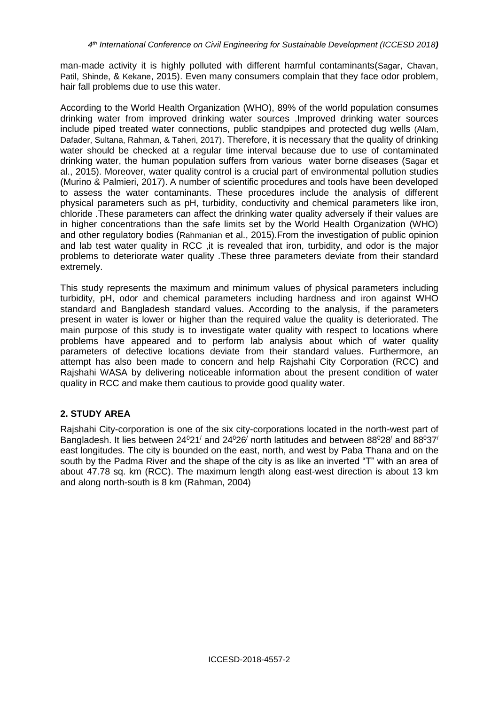man-made activity it is highly polluted with different harmful contaminants(Sagar, Chavan, Patil, Shinde, & Kekane, 2015). Even many consumers complain that they face odor problem, hair fall problems due to use this water.

According to the World Health Organization (WHO), 89% of the world population consumes drinking water from improved drinking water sources .Improved drinking water sources include piped treated water connections, public standpipes and protected dug wells (Alam, Dafader, Sultana, Rahman, & Taheri, 2017). Therefore, it is necessary that the quality of drinking water should be checked at a regular time interval because due to use of contaminated drinking water, the human population suffers from various water borne diseases (Sagar et al., 2015). Moreover, water quality control is a crucial part of environmental pollution studies (Murino & Palmieri, 2017). A number of scientific procedures and tools have been developed to assess the water contaminants. These procedures include the analysis of different physical parameters such as pH, turbidity, conductivity and chemical parameters like iron, chloride .These parameters can affect the drinking water quality adversely if their values are in higher concentrations than the safe limits set by the World Health Organization (WHO) and other regulatory bodies (Rahmanian et al., 2015).From the investigation of public opinion and lab test water quality in RCC ,it is revealed that iron, turbidity, and odor is the major problems to deteriorate water quality .These three parameters deviate from their standard extremely.

This study represents the maximum and minimum values of physical parameters including turbidity, pH, odor and chemical parameters including hardness and iron against WHO standard and Bangladesh standard values. According to the analysis, if the parameters present in water is lower or higher than the required value the quality is deteriorated. The main purpose of this study is to investigate water quality with respect to locations where problems have appeared and to perform lab analysis about which of water quality parameters of defective locations deviate from their standard values. Furthermore, an attempt has also been made to concern and help Rajshahi City Corporation (RCC) and Rajshahi WASA by delivering noticeable information about the present condition of water quality in RCC and make them cautious to provide good quality water.

## **2. STUDY AREA**

Rajshahi City-corporation is one of the six city-corporations located in the north-west part of Bangladesh. It lies between  $24^{\circ}21'$  and  $24^{\circ}26'$  north latitudes and between  $88^{\circ}28'$  and  $88^{\circ}37'$ east longitudes. The city is bounded on the east, north, and west by Paba Thana and on the south by the Padma River and the shape of the city is as like an inverted "T" with an area of about 47.78 sq. km (RCC). The maximum length along east-west direction is about 13 km and along north-south is 8 km (Rahman, 2004)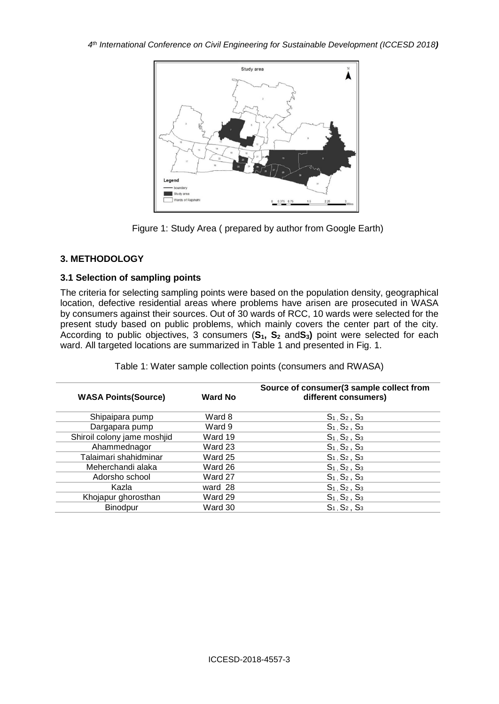



### **3. METHODOLOGY**

### **3.1 Selection of sampling points**

The criteria for selecting sampling points were based on the population density, geographical location, defective residential areas where problems have arisen are prosecuted in WASA by consumers against their sources. Out of 30 wards of RCC, 10 wards were selected for the present study based on public problems, which mainly covers the center part of the city. According to public objectives, 3 consumers (**S1, S<sup>2</sup>** and**S3)** point were selected for each ward. All targeted locations are summarized in Table 1 and presented in Fig. 1.

|  |  |  | Table 1: Water sample collection points (consumers and RWASA) |  |
|--|--|--|---------------------------------------------------------------|--|
|--|--|--|---------------------------------------------------------------|--|

| <b>WASA Points (Source)</b> | <b>Ward No</b> | Source of consumer(3 sample collect from<br>different consumers) |
|-----------------------------|----------------|------------------------------------------------------------------|
| Shipaipara pump             | Ward 8         | $S_1, S_2, S_3$                                                  |
| Dargapara pump              | Ward 9         | $S_1, S_2, S_3$                                                  |
| Shiroil colony jame moshjid | Ward 19        | $S_1, S_2, S_3$                                                  |
| Ahammednagor                | Ward 23        | $S_1, S_2, S_3$                                                  |
| Talaimari shahidminar       | Ward 25        | $S_1, S_2, S_3$                                                  |
| Meherchandi alaka           | Ward 26        | $S_1, S_2, S_3$                                                  |
| Adorsho school              | Ward 27        | $S_1, S_2, S_3$                                                  |
| Kazla                       | ward 28        | $S_1, S_2, S_3$                                                  |
| Khojapur ghorosthan         | Ward 29        | $S_1, S_2, S_3$                                                  |
| <b>Binodpur</b>             | Ward 30        | $S_1, S_2, S_3$                                                  |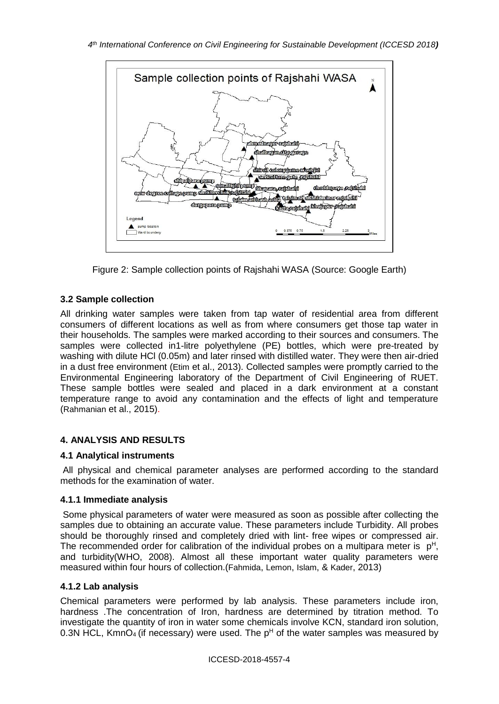

Figure 2: Sample collection points of Rajshahi WASA (Source: Google Earth)

# **3.2 Sample collection**

All drinking water samples were taken from tap water of residential area from different consumers of different locations as well as from where consumers get those tap water in their households. The samples were marked according to their sources and consumers. The samples were collected in1-litre polyethylene (PE) bottles, which were pre-treated by washing with dilute HCl (0.05m) and later rinsed with distilled water. They were then air-dried in a dust free environment (Etim et al., 2013). Collected samples were promptly carried to the Environmental Engineering laboratory of the Department of Civil Engineering of RUET. These sample bottles were sealed and placed in a dark environment at a constant temperature range to avoid any contamination and the effects of light and temperature (Rahmanian et al., 2015).

## **4. ANALYSIS AND RESULTS**

## **4.1 Analytical instruments**

All physical and chemical parameter analyses are performed according to the standard methods for the examination of water.

### **4.1.1 Immediate analysis**

Some physical parameters of water were measured as soon as possible after collecting the samples due to obtaining an accurate value. These parameters include Turbidity. All probes should be thoroughly rinsed and completely dried with lint- free wipes or compressed air. The recommended order for calibration of the individual probes on a multipara meter is  $p^H$ , and turbidity(WHO, 2008). Almost all these important water quality parameters were measured within four hours of collection.(Fahmida, Lemon, Islam, & Kader, 2013)

## **4.1.2 Lab analysis**

Chemical parameters were performed by lab analysis. These parameters include iron, hardness .The concentration of Iron, hardness are determined by titration method. To investigate the quantity of iron in water some chemicals involve KCN, standard iron solution, 0.3N HCL, KmnO<sub>4</sub> (if necessary) were used. The  $p<sup>H</sup>$  of the water samples was measured by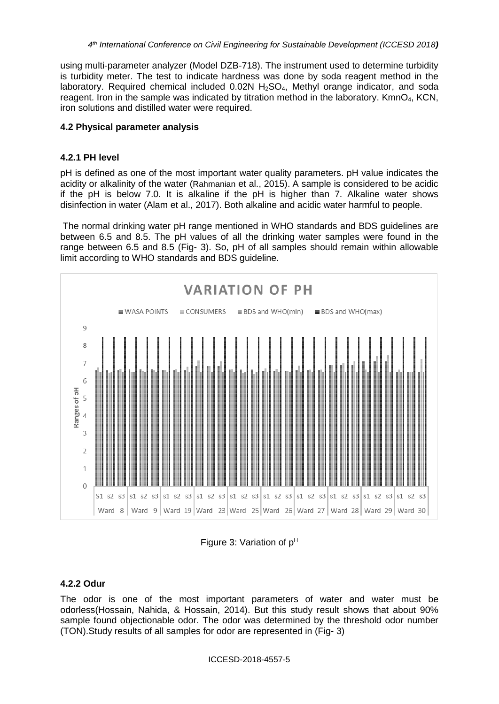using multi-parameter analyzer (Model DZB-718). The instrument used to determine turbidity is turbidity meter. The test to indicate hardness was done by soda reagent method in the laboratory. Required chemical included  $0.02N H<sub>2</sub>SO<sub>4</sub>$ , Methyl orange indicator, and soda reagent. Iron in the sample was indicated by titration method in the laboratory. KmnO4, KCN, iron solutions and distilled water were required.

#### **4.2 Physical parameter analysis**

#### **4.2.1 PH level**

pH is defined as one of the most important water quality parameters. pH value indicates the acidity or alkalinity of the water (Rahmanian et al., 2015). A sample is considered to be acidic if the pH is below 7.0. It is alkaline if the pH is higher than 7. Alkaline water shows disinfection in water (Alam et al., 2017). Both alkaline and acidic water harmful to people.

The normal drinking water pH range mentioned in WHO standards and BDS guidelines are between 6.5 and 8.5. The pH values of all the drinking water samples were found in the range between 6.5 and 8.5 (Fig- 3). So, pH of all samples should remain within allowable limit according to WHO standards and BDS guideline.



Figure 3: Variation of  $p^H$ 

### **4.2.2 Odur**

The odor is one of the most important parameters of water and water must be odorless(Hossain, Nahida, & Hossain, 2014). But this study result shows that about 90% sample found objectionable odor. The odor was determined by the threshold odor number (TON).Study results of all samples for odor are represented in (Fig- 3)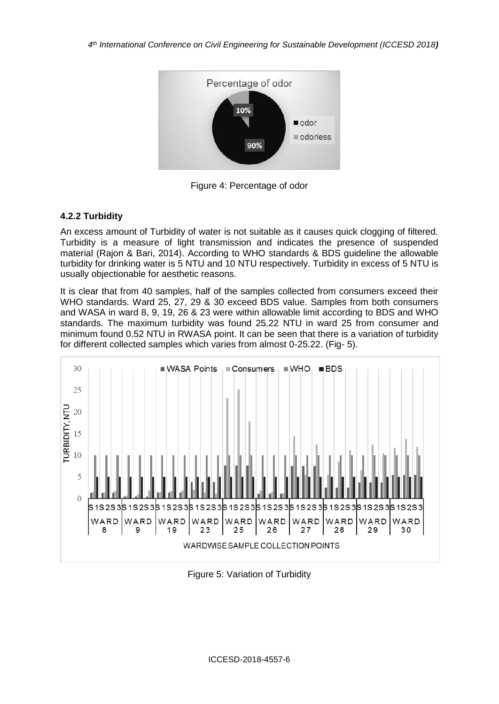

Figure 4: Percentage of odor

### **4.2.2 Turbidity**

An excess amount of Turbidity of water is not suitable as it causes quick clogging of filtered. Turbidity is a measure of light transmission and indicates the presence of suspended material (Rajon & Bari, 2014). According to WHO standards & BDS guideline the allowable turbidity for drinking water is 5 NTU and 10 NTU respectively. Turbidity in excess of 5 NTU is usually objectionable for aesthetic reasons.

It is clear that from 40 samples, half of the samples collected from consumers exceed their WHO standards. Ward 25, 27, 29 & 30 exceed BDS value. Samples from both consumers and WASA in ward 8, 9, 19, 26 & 23 were within allowable limit according to BDS and WHO standards. The maximum turbidity was found 25.22 NTU in ward 25 from consumer and minimum found 0.52 NTU in RWASA point. It can be seen that there is a variation of turbidity for different collected samples which varies from almost 0-25.22. (Fig- 5).



Figure 5: Variation of Turbidity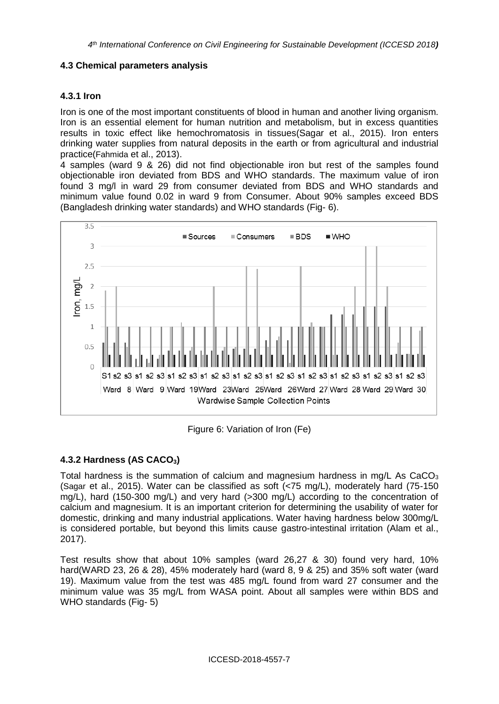### **4.3 Chemical parameters analysis**

### **4.3.1 Iron**

Iron is one of the most important constituents of blood in human and another living organism. Iron is an essential element for human nutrition and metabolism, but in excess quantities results in toxic effect like hemochromatosis in tissues(Sagar et al., 2015). Iron enters drinking water supplies from natural deposits in the earth or from agricultural and industrial practice(Fahmida et al., 2013).

4 samples (ward 9 & 26) did not find objectionable iron but rest of the samples found objectionable iron deviated from BDS and WHO standards. The maximum value of iron found 3 mg/l in ward 29 from consumer deviated from BDS and WHO standards and minimum value found 0.02 in ward 9 from Consumer. About 90% samples exceed BDS (Bangladesh drinking water standards) and WHO standards (Fig- 6).



Figure 6: Variation of Iron (Fe)

## **4.3.2 Hardness (AS CACO3)**

Total hardness is the summation of calcium and magnesium hardness in mg/L As  $CaCO<sub>3</sub>$ (Sagar et al., 2015). Water can be classified as soft (<75 mg/L), moderately hard (75-150 mg/L), hard (150-300 mg/L) and very hard (>300 mg/L) according to the concentration of calcium and magnesium. It is an important criterion for determining the usability of water for domestic, drinking and many industrial applications. Water having hardness below 300mg/L is considered portable, but beyond this limits cause gastro-intestinal irritation (Alam et al., 2017).

Test results show that about 10% samples (ward 26,27 & 30) found very hard, 10% hard(WARD 23, 26 & 28), 45% moderately hard (ward 8, 9 & 25) and 35% soft water (ward 19). Maximum value from the test was 485 mg/L found from ward 27 consumer and the minimum value was 35 mg/L from WASA point. About all samples were within BDS and WHO standards (Fig- 5)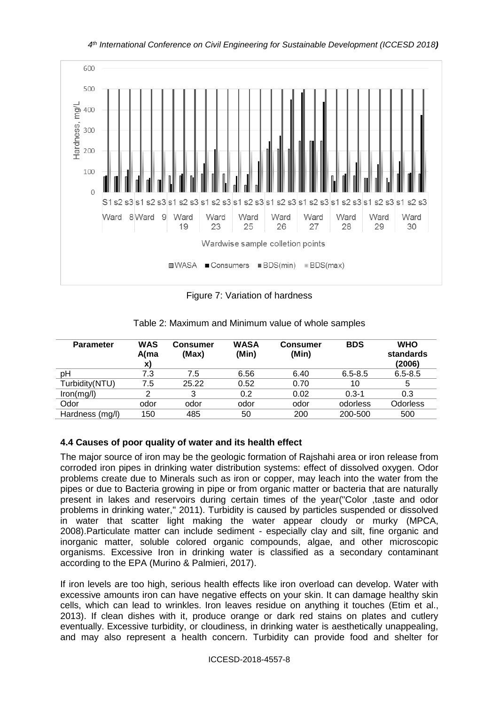

*4 th International Conference on Civil Engineering for Sustainable Development (ICCESD 2018)*

Figure 7: Variation of hardness

| <b>Parameter</b> | <b>WAS</b><br>A(ma<br>X) | Consumer<br>(Max) | <b>WASA</b><br>(Min) | Consumer<br>(Min) | <b>BDS</b>  | <b>WHO</b><br>standards<br>(2006) |
|------------------|--------------------------|-------------------|----------------------|-------------------|-------------|-----------------------------------|
| рH               | 7.3                      | 7.5               | 6.56                 | 6.40              | $6.5 - 8.5$ | $6.5 - 8.5$                       |
| Turbidity(NTU)   | 7.5                      | 25.22             | 0.52                 | 0.70              | 10          | 5                                 |
| lron(mg/l)       | 2                        | 3                 | 0.2                  | 0.02              | $0.3 - 1$   | 0.3                               |
| Odor             | odor                     | odor              | odor                 | odor              | odorless    | <b>Odorless</b>                   |
| Hardness (mg/l)  | 150                      | 485               | 50                   | 200               | 200-500     | 500                               |

Table 2: Maximum and Minimum value of whole samples

### **4.4 Causes of poor quality of water and its health effect**

The major source of iron may be the geologic formation of Rajshahi area or iron release from corroded iron pipes in drinking water distribution systems: effect of dissolved oxygen. Odor problems create due to Minerals such as iron or copper, may leach into the water from the pipes or due to Bacteria growing in pipe or from organic matter or bacteria that are naturally present in lakes and reservoirs during certain times of the year("Color ,taste and odor problems in drinking water," 2011). Turbidity is caused by particles suspended or dissolved in water that scatter light making the water appear cloudy or murky (MPCA, 2008).Particulate matter can include sediment - especially clay and silt, fine organic and inorganic matter, soluble colored organic compounds, algae, and other microscopic organisms. Excessive Iron in drinking water is classified as a secondary contaminant according to the EPA (Murino & Palmieri, 2017).

If iron levels are too high, serious health effects like iron overload can develop. Water with excessive amounts iron can have negative effects on your skin. It can damage healthy skin cells, which can lead to wrinkles. Iron leaves residue on anything it touches (Etim et al., 2013). If clean dishes with it, produce orange or dark red stains on plates and cutlery eventually. Excessive turbidity, or cloudiness, in drinking water is aesthetically unappealing, and may also represent a health concern. Turbidity can provide food and shelter for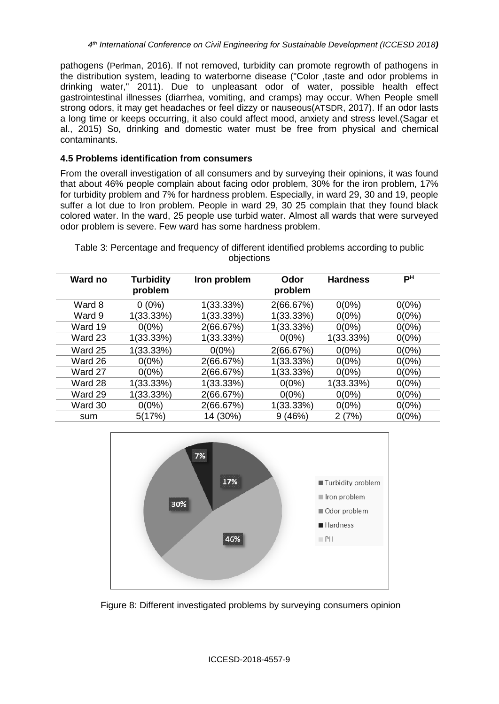pathogens (Perlman, 2016). If not removed, turbidity can promote regrowth of pathogens in the distribution system, leading to waterborne disease ("Color ,taste and odor problems in drinking water," 2011). Due to unpleasant odor of water, possible health effect gastrointestinal illnesses (diarrhea, vomiting, and cramps) may occur. When People smell strong odors, it may get headaches or feel dizzy or nauseous(ATSDR, 2017). If an odor lasts a long time or keeps occurring, it also could affect mood, anxiety and stress level.(Sagar et al., 2015) So, drinking and domestic water must be free from physical and chemical contaminants.

#### **4.5 Problems identification from consumers**

From the overall investigation of all consumers and by surveying their opinions, it was found that about 46% people complain about facing odor problem, 30% for the iron problem, 17% for turbidity problem and 7% for hardness problem. Especially, in ward 29, 30 and 19, people suffer a lot due to Iron problem. People in ward 29, 30 25 complain that they found black colored water. In the ward, 25 people use turbid water. Almost all wards that were surveyed odor problem is severe. Few ward has some hardness problem.

| Ward no | <b>Turbidity</b><br>problem | Iron problem | Odor<br>problem | <b>Hardness</b> | PН       |
|---------|-----------------------------|--------------|-----------------|-----------------|----------|
| Ward 8  | $0(0\%)$                    | 1(33.33%)    | 2(66.67%)       | $0(0\%)$        | $0(0\%)$ |
| Ward 9  | 1(33.33%)                   | 1(33.33%)    | 1(33.33%)       | $0(0\%)$        | $0(0\%)$ |
| Ward 19 | $0(0\%)$                    | 2(66.67%)    | 1(33.33%)       | $0(0\%)$        | $0(0\%)$ |
| Ward 23 | 1(33.33%)                   | 1(33.33%)    | $0(0\%)$        | 1(33.33%)       | $0(0\%)$ |
| Ward 25 | 1(33.33%)                   | $0(0\%)$     | 2(66.67%)       | $0(0\%)$        | $0(0\%)$ |
| Ward 26 | $0(0\%)$                    | 2(66.67%)    | 1(33.33%)       | $0(0\%)$        | $0(0\%)$ |
| Ward 27 | $0(0\%)$                    | 2(66.67%)    | 1(33.33%)       | $0(0\%)$        | $0(0\%)$ |
| Ward 28 | $1(33.33\%)$                | $1(33.33\%)$ | $0(0\%)$        | $1(33.33\%)$    | $0(0\%)$ |
| Ward 29 | 1(33.33%)                   | 2(66.67%)    | $0(0\%)$        | $0(0\%)$        | $0(0\%)$ |
| Ward 30 | $0(0\%)$                    | 2(66.67%)    | 1(33.33%)       | $0(0\%)$        | $0(0\%)$ |
| sum     | 5(17%)                      | 14 (30%)     | 9(46%)          | 2(7%)           | $0(0\%)$ |

Table 3: Percentage and frequency of different identified problems according to public objections



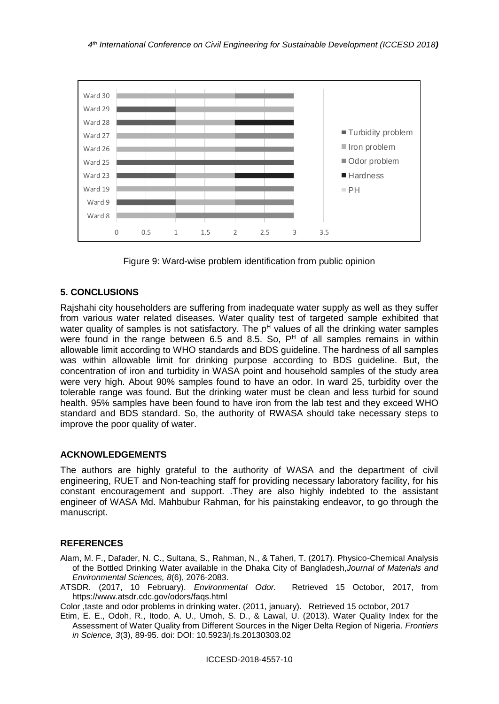



### **5. CONCLUSIONS**

Rajshahi city householders are suffering from inadequate water supply as well as they suffer from various water related diseases. Water quality test of targeted sample exhibited that water quality of samples is not satisfactory. The  $p<sup>H</sup>$  values of all the drinking water samples were found in the range between 6.5 and 8.5. So,  $P<sup>H</sup>$  of all samples remains in within allowable limit according to WHO standards and BDS guideline. The hardness of all samples was within allowable limit for drinking purpose according to BDS guideline. But, the concentration of iron and turbidity in WASA point and household samples of the study area were very high. About 90% samples found to have an odor. In ward 25, turbidity over the tolerable range was found. But the drinking water must be clean and less turbid for sound health. 95% samples have been found to have iron from the lab test and they exceed WHO standard and BDS standard. So, the authority of RWASA should take necessary steps to improve the poor quality of water.

### **ACKNOWLEDGEMENTS**

The authors are highly grateful to the authority of WASA and the department of civil engineering, RUET and Non-teaching staff for providing necessary laboratory facility, for his constant encouragement and support. .They are also highly indebted to the assistant engineer of WASA Md. Mahbubur Rahman, for his painstaking endeavor, to go through the manuscript.

### **REFERENCES**

- Alam, M. F., Dafader, N. C., Sultana, S., Rahman, N., & Taheri, T. (2017). Physico-Chemical Analysis of the Bottled Drinking Water available in the Dhaka City of Bangladesh,*Journal of Materials and Environmental Sciences, 8*(6), 2076-2083.
- ATSDR. (2017, 10 February). *Environmental Odor.* Retrieved 15 Octobor, 2017, from https://www.atsdr.cdc.gov/odors/faqs.html

Color ,taste and odor problems in drinking water. (2011, january). Retrieved 15 octobor, 2017

Etim, E. E., Odoh, R., Itodo, A. U., Umoh, S. D., & Lawal, U. (2013). Water Quality Index for the Assessment of Water Quality from Different Sources in the Niger Delta Region of Nigeria. *Frontiers in Science, 3*(3), 89-95. doi: DOI: 10.5923/j.fs.20130303.02